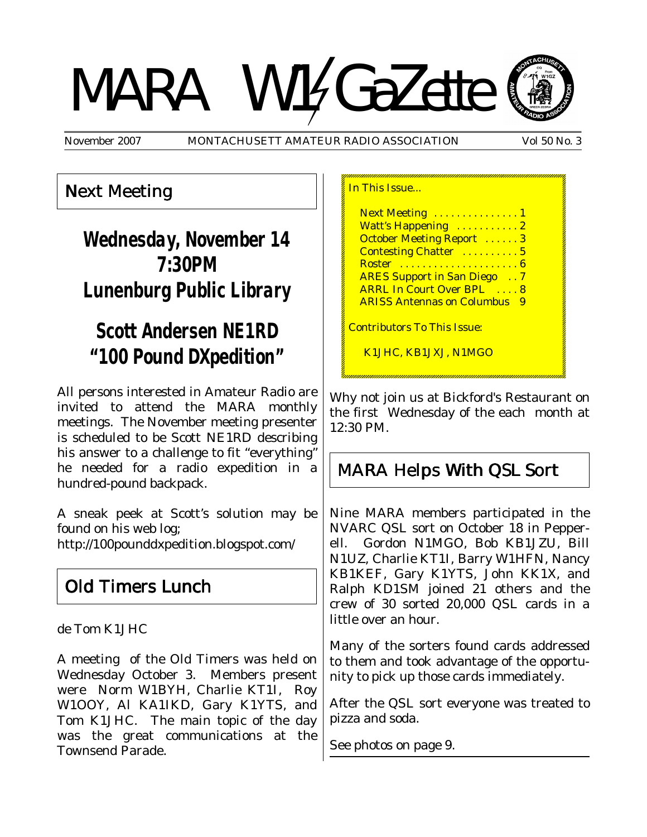# MARA W14GaZette



November 2007 MONTACHUSETT AMATEUR RADIO ASSOCIATION Vol 50 No. 3

## Next Meeting

# **Wednesday, November 14 7:30PM Lunenburg Public Library**

# **Scott Andersen NE1RD "100 Pound DXpedition"**

All persons interested in Amateur Radio are invited to attend the MARA monthly meetings. The November meeting presenter is scheduled to be Scott NE1RD describing his answer to a challenge to fit "everything" he needed for a radio expedition in a hundred-pound backpack.

A sneak peek at Scott's solution may be found on his web log;

http://100pounddxpedition.blogspot.com/

# Old Timers Lunch

de Tom K1JHC

A meeting of the Old Timers was held on Wednesday October 3. Members present were Norm W1BYH, Charlie KT1I, Roy W1OOY, Al KA1IKD, Gary K1YTS, and Tom K1JHC. The main topic of the day was the great communications at the Townsend Parade.

In This Issue... Next Meeting . . . . . . . . . . . . . 1 Watt's Happening ........... 2 October Meeting Report ...... 3 Contesting Chatter ........... 5 Roster . . . . . . . . . . . . . . . . . . . . . 6 ARES Support in San Diego . . 7 ARRL In Court Over BPL .... 8 ARISS Antennas on Columbus 9 Contributors To This Issue: K1JHC, KB1JXJ, N1MGO

Why not join us at Bickford's Restaurant on the first Wednesday of the each month at 12:30 PM.

# MARA Helps With QSL Sort

Nine MARA members participated in the NVARC QSL sort on October 18 in Pepperell. Gordon N1MGO, Bob KB1JZU, Bill N1UZ, Charlie KT1I, Barry W1HFN, Nancy KB1KEF, Gary K1YTS, John KK1X, and Ralph KD1SM joined 21 others and the crew of 30 sorted 20,000 QSL cards in a little over an hour.

Many of the sorters found cards addressed to them and took advantage of the opportunity to pick up those cards immediately.

After the QSL sort everyone was treated to pizza and soda.

See photos on page 9.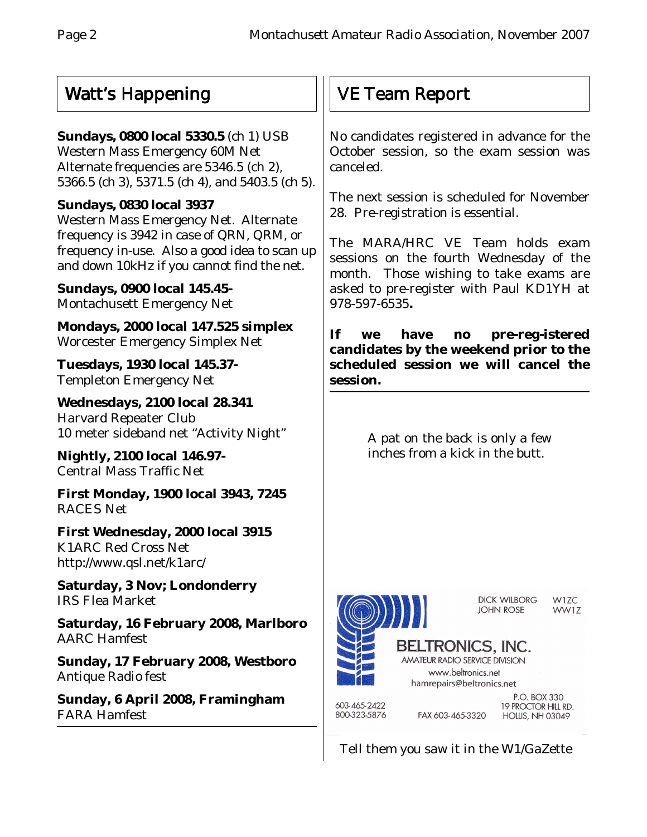# Watt's Happening

## **Sundays, 0800 local 5330.5** (ch 1) USB

Western Mass Emergency 60M Net Alternate frequencies are 5346.5 (ch 2), 5366.5 (ch 3), 5371.5 (ch 4), and 5403.5 (ch 5).

## **Sundays, 0830 local 3937**

Western Mass Emergency Net. Alternate frequency is 3942 in case of QRN, QRM, or frequency in-use. Also a good idea to scan up and down 10kHz if you cannot find the net.

**Sundays, 0900 local 145.45-** Montachusett Emergency Net

**Mondays, 2000 local 147.525 simplex** Worcester Emergency Simplex Net

**Tuesdays, 1930 local 145.37-** Templeton Emergency Net

**Wednesdays, 2100 local 28.341** Harvard Repeater Club 10 meter sideband net "Activity Night"

**Nightly, 2100 local 146.97-** Central Mass Traffic Net

**First Monday, 1900 local 3943, 7245** RACES Net

**First Wednesday, 2000 local 3915** K1ARC Red Cross Net http://www.qsl.net/k1arc/

**Saturday, 3 Nov; Londonderry** IRS Flea Market

**Saturday, 16 February 2008, Marlboro** AARC Hamfest

**Sunday, 17 February 2008, Westboro** Antique Radio fest

**Sunday, 6 April 2008, Framingham** FARA Hamfest

# VE Team Report

No candidates registered in advance for the October session, so the exam session was canceled.

The next session is scheduled for November 28. Pre-registration is essential.

The MARA/HRC VE Team holds exam sessions on the fourth Wednesday of the month. Those wishing to take exams are asked to pre-register with Paul KD1YH at 978-597-6535**.**

**If we have no pre-reg-istered candidates by the weekend prior to the scheduled session we will cancel the session.**

> A pat on the back is only a few inches from a kick in the butt.



Tell them you saw it in the W1/GaZette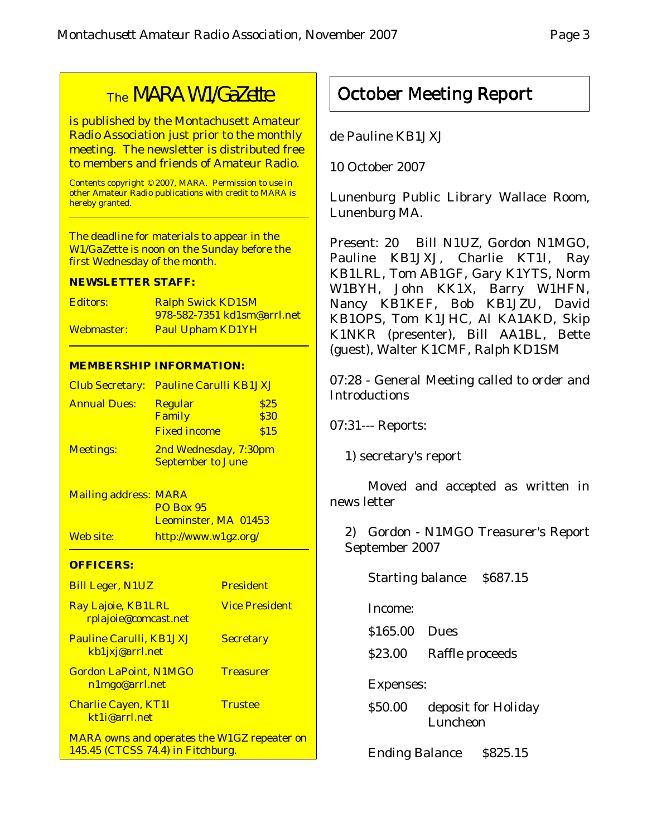# The MARA W1/GaZette

is published by the Montachusett Amateur Radio Association just prior to the monthly meeting. The newsletter is distributed free to members and friends of Amateur Radio.

Contents copyright © 2007, MARA. Permission to use in other Amateur Radio publications with credit to MARA is hereby granted.

The deadline for materials to appear in the W1/GaZette is noon on the Sunday before the first Wednesday of the month.

#### **NEWSLETTER STAFF:**

| <b>Editors:</b> | <b>Ralph Swick KD1SM</b>    |
|-----------------|-----------------------------|
|                 | 978-582-7351 kd1sm@arrl.net |
| Webmaster:      | <b>Paul Upham KD1YH</b>     |

#### **MEMBERSHIP INFORMATION:**

|                     | Club Secretary: Pauline Carulli KB1JXJ |      |
|---------------------|----------------------------------------|------|
| <b>Annual Dues:</b> | <b>Regular</b>                         | \$25 |
|                     | Family                                 | \$30 |
|                     | <b>Fixed income</b>                    | \$15 |
| <b>Meetings:</b>    | 2nd Wednesday, 7:30pm                  |      |
|                     | <b>September to June</b>               |      |

Mailing address: MARA PO Box 95 Leominster, MA 01453 Web site: http://www.w1gz.org/

#### **OFFICERS:**

| <b>Bill Leger, N1UZ</b>                                                                 | <b>President</b>      |
|-----------------------------------------------------------------------------------------|-----------------------|
| Ray Lajoie, KB1LRL<br>rplajoie@comcast.net                                              | <b>Vice President</b> |
| <b>Pauline Carulli, KB1JXJ</b><br>kb1jxj@arrl.net                                       | <b>Secretary</b>      |
| <b>Gordon LaPoint, N1MGO</b><br>n1mgo@arrl.net                                          | <b>Treasurer</b>      |
| <b>Charlie Cayen, KT1I</b><br>kt1j@arrl.net                                             | <b>Trustee</b>        |
| <b>MARA owns and operates the W1GZ repeater on</b><br>145.45 (CTCSS 74.4) in Fitchburg. |                       |

## October Meeting Report

de Pauline KB1JXJ

10 October 2007

Lunenburg Public Library Wallace Room, Lunenburg MA.

Present: 20 Bill N1UZ, Gordon N1MGO, Pauline KB1JXJ, Charlie KT1I, Ray KB1LRL, Tom AB1GF, Gary K1YTS, Norm W1BYH, John KK1X, Barry W1HFN, Nancy KB1KEF, Bob KB1JZU, David KB1OPS, Tom K1JHC, Al KA1AKD, Skip K1NKR (presenter), Bill AA1BL, Bette (guest), Walter K1CMF, Ralph KD1SM

07:28 - General Meeting called to order and Introductions

07:31--- Reports:

1) secretary's report

Moved and accepted as written in news letter

2) Gordon - N1MGO Treasurer's Report September 2007

Starting balance \$687.15

Income:

\$165.00 Dues

\$23.00 Raffle proceeds

Expenses:

\$50.00 deposit for Holiday Luncheon

Ending Balance \$825.15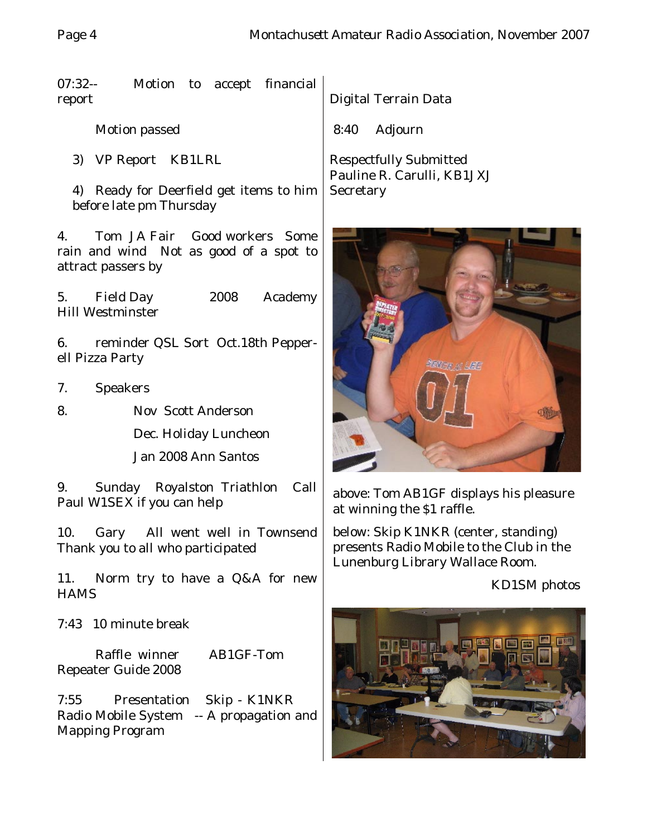07:32-- Motion to accept financial report

Motion passed

3) VP Report KB1LRL

4) Ready for Deerfield get items to him before late pm Thursday

4. Tom JA Fair Good workers Some rain and wind Not as good of a spot to attract passers by

5. Field Day 2008 Academy Hill Westminster

6. reminder QSL Sort Oct.18th Pepperell Pizza Party

- 7. Speakers
- 8. Nov Scott Anderson

Dec. Holiday Luncheon Jan 2008 Ann Santos

9. Sunday Royalston Triathlon Call Paul W1SEX if you can help

10. Gary All went well in Townsend Thank you to all who participated

11. Norm try to have a Q&A for new **HAMS** 

7:43 10 minute break

Raffle winner AB1GF-Tom Repeater Guide 2008

7:55 Presentation Skip - K1NKR Radio Mobile System -- A propagation and Mapping Program

Digital Terrain Data

8:40 Adjourn

Respectfully Submitted Pauline R. Carulli, KB1JXJ **Secretary** 



above: Tom AB1GF displays his pleasure at winning the \$1 raffle.

below: Skip K1NKR (center, standing) presents Radio Mobile to the Club in the Lunenburg Library Wallace Room.

#### KD1SM photos

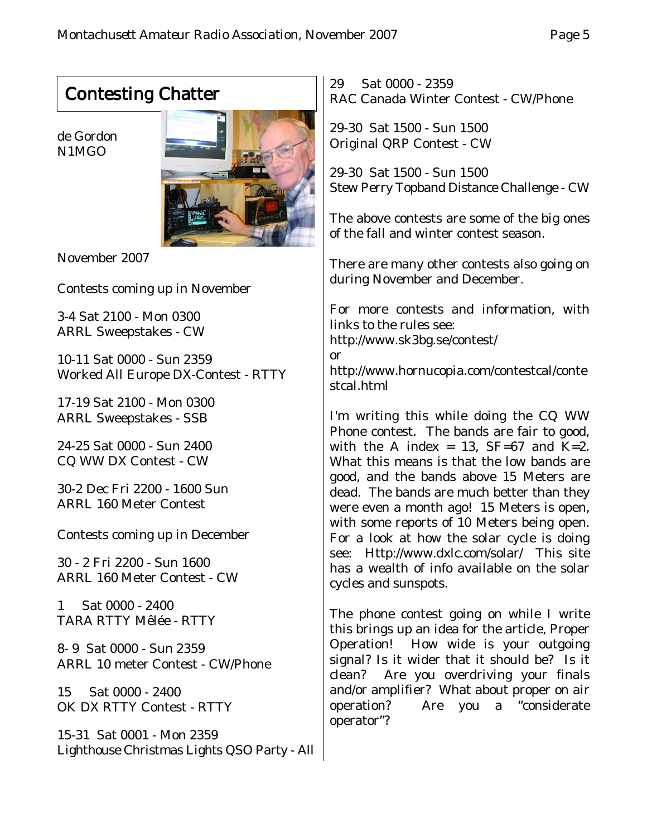# Contesting Chatter

de Gordon N1MGO



November 2007

Contests coming up in November

3-4 Sat 2100 - Mon 0300 ARRL Sweepstakes - CW

10-11 Sat 0000 - Sun 2359 Worked All Europe DX-Contest - RTTY

17-19 Sat 2100 - Mon 0300 ARRL Sweepstakes - SSB

24-25 Sat 0000 - Sun 2400 CQ WW DX Contest - CW

30-2 Dec Fri 2200 - 1600 Sun ARRL 160 Meter Contest

Contests coming up in December

30 - 2 Fri 2200 - Sun 1600 ARRL 160 Meter Contest - CW

1 Sat 0000 - 2400 TARA RTTY Mêlée - RTTY

8- 9 Sat 0000 - Sun 2359 ARRL 10 meter Contest - CW/Phone

15 Sat 0000 - 2400 OK DX RTTY Contest - RTTY

15-31 Sat 0001 - Mon 2359 Lighthouse Christmas Lights QSO Party - All 29 Sat 0000 - 2359 RAC Canada Winter Contest - CW/Phone

29-30 Sat 1500 - Sun 1500 Original QRP Contest - CW

29-30 Sat 1500 - Sun 1500 Stew Perry Topband Distance Challenge - CW

The above contests are some of the big ones of the fall and winter contest season.

There are many other contests also going on during November and December.

For more contests and information, with links to the rules see: http://www.sk3bg.se/contest/ or http://www.hornucopia.com/contestcal/conte stcal.html

I'm writing this while doing the CQ WW Phone contest. The bands are fair to good, with the A index = 13,  $SF=67$  and  $K=2$ . What this means is that the low bands are good, and the bands above 15 Meters are dead. The bands are much better than they were even a month ago! 15 Meters is open, with some reports of 10 Meters being open. For a look at how the solar cycle is doing see: Http://www.dxlc.com/solar/ This site has a wealth of info available on the solar cycles and sunspots.

The phone contest going on while I write this brings up an idea for the article, Proper Operation! How wide is your outgoing signal? Is it wider that it should be? Is it clean? Are you overdriving your finals and/or amplifier? What about proper on air operation? Are you a "considerate operator"?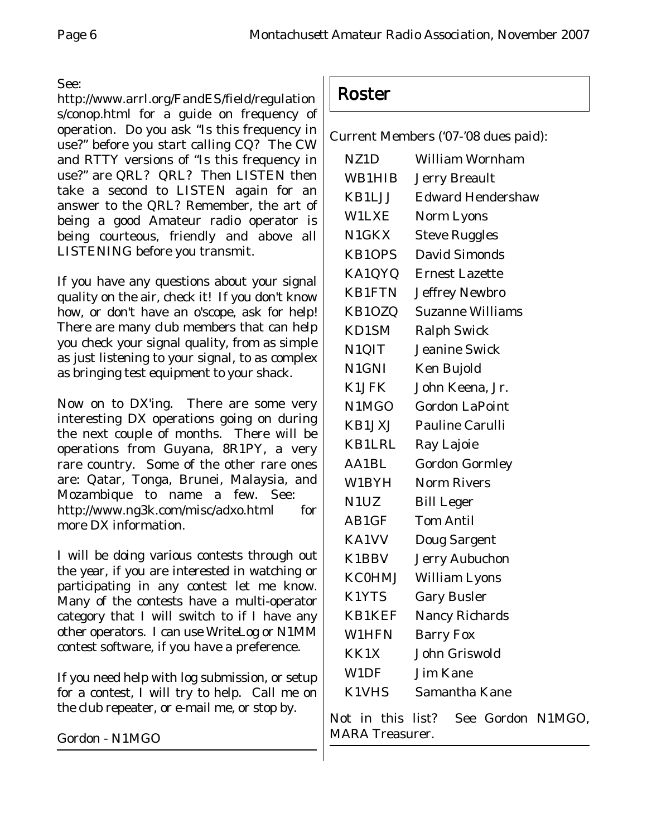#### See:

http://www.arrl.org/FandES/field/regulation s/conop.html for a guide on frequency of operation. Do you ask "Is this frequency in use?" before you start calling CQ? The CW and RTTY versions of "Is this frequency in use?" are QRL? QRL? Then LISTEN then take a second to LISTEN again for an answer to the QRL? Remember, the art of being a good Amateur radio operator is being courteous, friendly and above all LISTENING before you transmit.

If you have any questions about your signal quality on the air, check it! If you don't know how, or don't have an o'scope, ask for help! There are many club members that can help you check your signal quality, from as simple as just listening to your signal, to as complex as bringing test equipment to your shack.

Now on to DX'ing. There are some very interesting DX operations going on during the next couple of months. There will be operations from Guyana, 8R1PY, a very rare country. Some of the other rare ones are: Qatar, Tonga, Brunei, Malaysia, and Mozambique to name a few. See: http://www.ng3k.com/misc/adxo.html for more DX information.

I will be doing various contests through out the year, if you are interested in watching or participating in any contest let me know. Many of the contests have a multi-operator category that I will switch to if I have any other operators. I can use WriteLog or N1MM contest software, if you have a preference.

If you need help with log submission, or setup for a contest, I will try to help. Call me on the club repeater, or e-mail me, or stop by.

Gordon - N1MGO

## Roster

Current Members ('07-'08 dues paid):

| NZ <sub>1</sub> D | <b>William Wornham</b>   |
|-------------------|--------------------------|
| WB1HIB            | <b>Jerry Breault</b>     |
| KB1LJJ            | <b>Edward Hendershaw</b> |
| W1LXE             | Norm Lyons               |
| N1GKX             | <b>Steve Ruggles</b>     |
| <b>KB1OPS</b>     | <b>David Simonds</b>     |
| KA1QYQ            | <b>Ernest Lazette</b>    |
| <b>KB1FTN</b>     | <b>Jeffrey Newbro</b>    |
| KB1OZQ            | <b>Suzanne Williams</b>  |
| KD1SM             | <b>Ralph Swick</b>       |
| N1QIT             | <b>Jeanine Swick</b>     |
| N1GNI             | Ken Bujold               |
| K1JFK             | John Keena, Jr.          |
| N1MGO             | <b>Gordon LaPoint</b>    |
| KB1JXJ            | <b>Pauline Carulli</b>   |
| KB1LRL            | Ray Lajoie               |
| AA1BL             | <b>Gordon Gormley</b>    |
| W1BYH             | <b>Norm Rivers</b>       |
| N1UZ              | <b>Bill Leger</b>        |
| AB1GF             | <b>Tom Antil</b>         |
| <b>KA1VV</b>      | <b>Doug Sargent</b>      |
| K1BBV             | <b>Jerry Aubuchon</b>    |
| <b>KC0HMJ</b>     | <b>William Lyons</b>     |
| K1YTS             | <b>Gary Busler</b>       |
| <b>KB1KEF</b>     | <b>Nancy Richards</b>    |
| <b>W1HFN</b>      | <b>Barry Fox</b>         |
| KK1X              | <b>John Griswold</b>     |
| W1DF              | <b>Jim Kane</b>          |
| <b>K1VHS</b>      | Samantha Kane            |

Not in this list? See Gordon N1MGO, MARA Treasurer.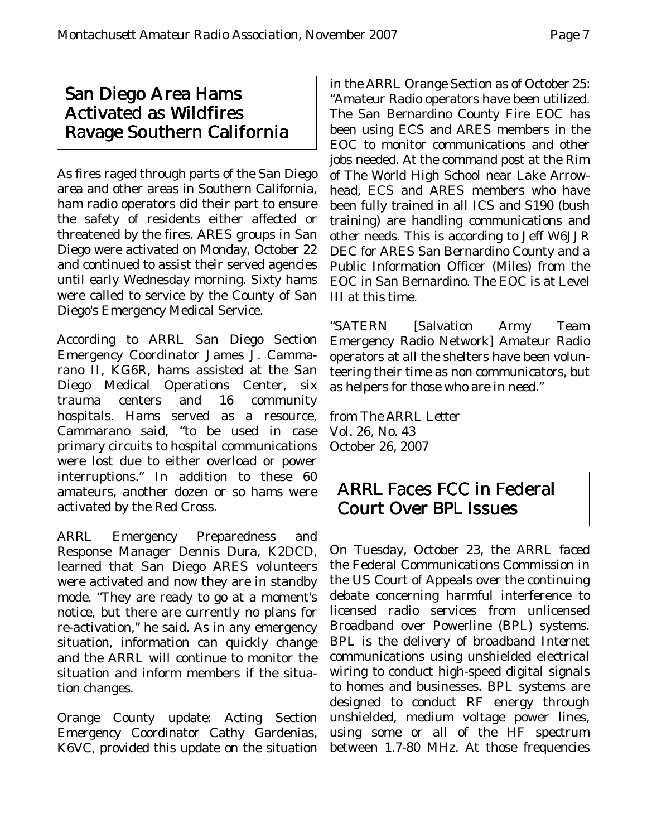## San Diego Area Hams Activated as Wildfires Ravage Southern California

As fires raged through parts of the San Diego area and other areas in Southern California, ham radio operators did their part to ensure the safety of residents either affected or threatened by the fires. ARES groups in San Diego were activated on Monday, October 22 and continued to assist their served agencies until early Wednesday morning. Sixty hams were called to service by the County of San Diego's Emergency Medical Service.

According to ARRL San Diego Section Emergency Coordinator James J. Cammarano II, KG6R, hams assisted at the San Diego Medical Operations Center, six trauma centers and 16 community hospitals. Hams served as a resource, Cammarano said, "to be used in case primary circuits to hospital communications were lost due to either overload or power interruptions." In addition to these 60 amateurs, another dozen or so hams were activated by the Red Cross.

ARRL Emergency Preparedness and Response Manager Dennis Dura, K2DCD, learned that San Diego ARES volunteers were activated and now they are in standby mode. "They are ready to go at a moment's notice, but there are currently no plans for re-activation," he said. As in any emergency situation, information can quickly change and the ARRL will continue to monitor the situation and inform members if the situation changes.

Orange County update: Acting Section Emergency Coordinator Cathy Gardenias, K6VC, provided this update on the situation

in the ARRL Orange Section as of October 25: "Amateur Radio operators have been utilized. The San Bernardino County Fire EOC has been using ECS and ARES members in the EOC to monitor communications and other jobs needed. At the command post at the Rim of The World High School near Lake Arrowhead, ECS and ARES members who have been fully trained in all ICS and S190 (bush training) are handling communications and other needs. This is according to Jeff W6JJR DEC for ARES San Bernardino County and a Public Information Officer (Miles) from the EOC in San Bernardino. The EOC is at Level III at this time.

"SATERN [Salvation Army Team Emergency Radio Network] Amateur Radio operators at all the shelters have been volunteering their time as non communicators, but as helpers for those who are in need."

from *The ARRL Letter* Vol. 26, No. 43 October 26, 2007

## ARRL Faces FCC in Federal Court Over BPL Issues

On Tuesday, October 23, the ARRL faced the Federal Communications Commission in the US Court of Appeals over the continuing debate concerning harmful interference to licensed radio services from unlicensed Broadband over Powerline (BPL) systems. BPL is the delivery of broadband Internet communications using unshielded electrical wiring to conduct high-speed digital signals to homes and businesses. BPL systems are designed to conduct RF energy through unshielded, medium voltage power lines, using some or all of the HF spectrum between 1.7-80 MHz. At those frequencies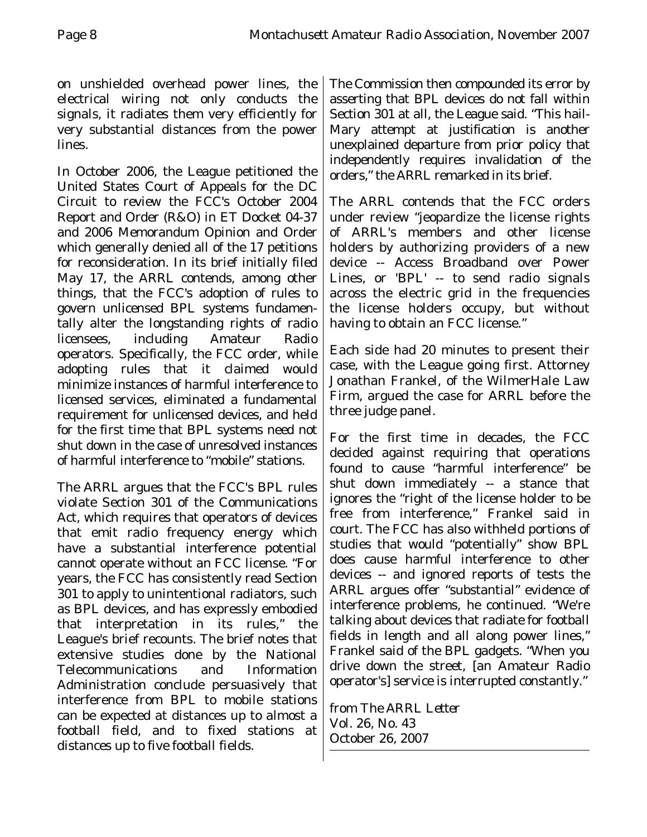on unshielded overhead power lines, the electrical wiring not only conducts the signals, it radiates them very efficiently for very substantial distances from the power lines.

In October 2006, the League petitioned the United States Court of Appeals for the DC Circuit to review the FCC's October 2004 Report and Order (R&O) in ET Docket 04-37 and 2006 Memorandum Opinion and Order which generally denied all of the 17 petitions for reconsideration. In its brief initially filed May 17, the ARRL contends, among other things, that the FCC's adoption of rules to govern unlicensed BPL systems fundamentally alter the longstanding rights of radio licensees, including Amateur Radio operators. Specifically, the FCC order, while adopting rules that it claimed would minimize instances of harmful interference to licensed services, eliminated a fundamental requirement for unlicensed devices, and held for the first time that BPL systems need not shut down in the case of unresolved instances of harmful interference to "mobile" stations.

The ARRL argues that the FCC's BPL rules violate Section 301 of the Communications Act, which requires that operators of devices that emit radio frequency energy which have a substantial interference potential cannot operate without an FCC license. "For years, the FCC has consistently read Section 301 to apply to unintentional radiators, such as BPL devices, and has expressly embodied that interpretation in its rules," the League's brief recounts. The brief notes that extensive studies done by the National Telecommunications and Information Administration conclude persuasively that interference from BPL to mobile stations can be expected at distances up to almost a football field, and to fixed stations at distances up to five football fields.

The Commission then compounded its error by asserting that BPL devices do not fall within Section 301 at all, the League said. "This hail-Mary attempt at justification is another unexplained departure from prior policy that independently requires invalidation of the orders," the ARRL remarked in its brief.

The ARRL contends that the FCC orders under review "jeopardize the license rights of ARRL's members and other license holders by authorizing providers of a new device -- Access Broadband over Power Lines, or 'BPL' -- to send radio signals across the electric grid in the frequencies the license holders occupy, but without having to obtain an FCC license."

Each side had 20 minutes to present their case, with the League going first. Attorney Jonathan Frankel, of the WilmerHale Law Firm, argued the case for ARRL before the three judge panel.

For the first time in decades, the FCC decided against requiring that operations found to cause "harmful interference" be shut down immediately -- a stance that ignores the "right of the license holder to be free from interference," Frankel said in court. The FCC has also withheld portions of studies that would "potentially" show BPL does cause harmful interference to other devices -- and ignored reports of tests the ARRL argues offer "substantial" evidence of interference problems, he continued. "We're talking about devices that radiate for football fields in length and all along power lines," Frankel said of the BPL gadgets. "When you drive down the street, [an Amateur Radio operator's] service is interrupted constantly."

from *The ARRL Letter* Vol. 26, No. 43 October 26, 2007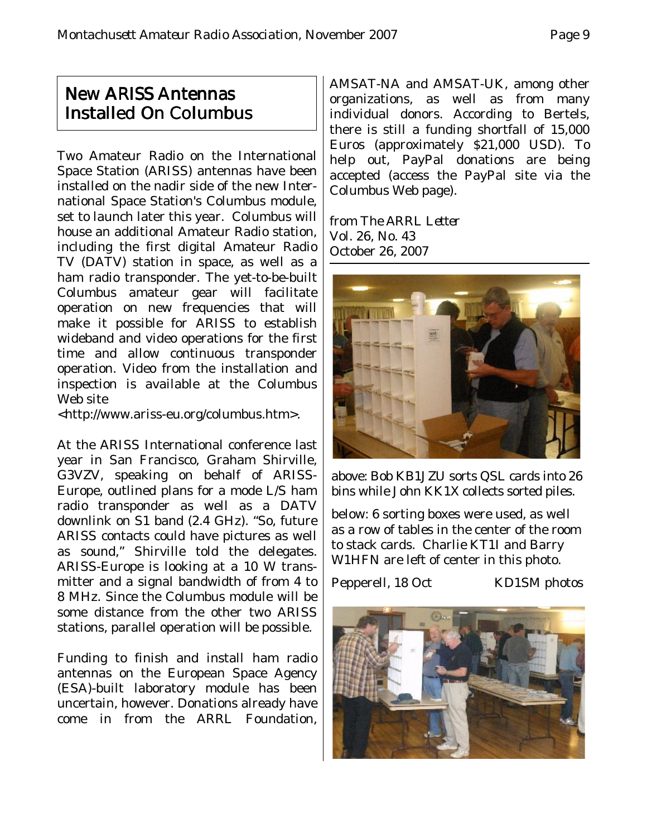## New ARISS Antennas Installed On Columbus

Two Amateur Radio on the International Space Station (ARISS) antennas have been installed on the nadir side of the new International Space Station's Columbus module, set to launch later this year. Columbus will house an additional Amateur Radio station, including the first digital Amateur Radio TV (DATV) station in space, as well as a ham radio transponder. The yet-to-be-built Columbus amateur gear will facilitate operation on new frequencies that will make it possible for ARISS to establish wideband and video operations for the first time and allow continuous transponder operation. Video from the installation and inspection is available at the Columbus Web site

<http://www.ariss-eu.org/columbus.htm>.

At the ARISS International conference last year in San Francisco, Graham Shirville, G3VZV, speaking on behalf of ARISS-Europe, outlined plans for a mode L/S ham radio transponder as well as a DATV downlink on S1 band (2.4 GHz). "So, future ARISS contacts could have pictures as well as sound," Shirville told the delegates. ARISS-Europe is looking at a 10 W transmitter and a signal bandwidth of from 4 to 8 MHz. Since the Columbus module will be some distance from the other two ARISS stations, parallel operation will be possible.

Funding to finish and install ham radio antennas on the European Space Agency (ESA)-built laboratory module has been uncertain, however. Donations already have come in from the ARRL Foundation,

AMSAT-NA and AMSAT-UK, among other organizations, as well as from many individual donors. According to Bertels, there is still a funding shortfall of 15,000 Euros (approximately \$21,000 USD). To help out, PayPal donations are being accepted (access the PayPal site via the Columbus Web page).

from *The ARRL Letter* Vol. 26, No. 43 October 26, 2007



above: Bob KB1JZU sorts QSL cards into 26 bins while John KK1X collects sorted piles.

below: 6 sorting boxes were used, as well as a row of tables in the center of the room to stack cards. Charlie KT1I and Barry W1HFN are left of center in this photo.

Pepperell, 18 Oct KD1SM photos